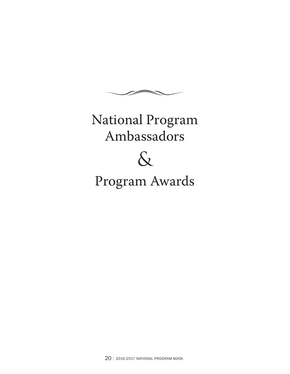

# National Program Ambassadors



# Program Awards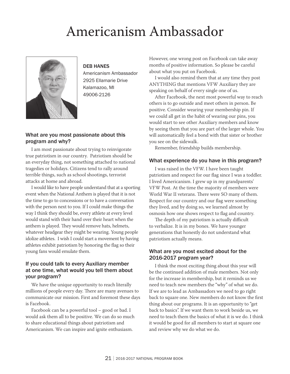# Americanism Ambassador



#### DEB HANES

Americanism Ambassador 2925 Ellamarie Drive Kalamazoo, MI 49006-2126

#### What are you most passionate about this program and why?

I am most passionate about trying to reinvigorate true patriotism in our country. Patriotism should be an everyday thing, not something attached to national tragedies or holidays. Citizens tend to rally around terrible things, such as school shootings, terrorist attacks at home and abroad.

I would like to have people understand that at a sporting event when the National Anthem is played that it is not the time to go to concessions or to have a conversation with the person next to you. If I could make things the way I think they should be, every athlete at every level would stand with their hand over their heart when the anthem is played. They would remove hats, helmets, whatever headgear they might be wearing. Young people idolize athletes. I wish I could start a movement by having athletes exhibit patriotism by honoring the flag so their young fans would emulate them.

#### If you could talk to every Auxiliary member at one time, what would you tell them about your program?

We have the unique opportunity to reach literally millions of people every day. There are many avenues to communicate our mission. First and foremost these days is Facebook.

Facebook can be a powerful tool – good or bad. I would ask them all to be positive. We can do so much to share educational things about patriotism and Americanism. We can inspire and ignite enthusiasm.

However, one wrong post on Facebook can take away months of positive information. So please be careful about what you put on Facebook.

I would also remind them that at any time they post ANYTHING that mentions VFW Auxiliary they are speaking on behalf of every single one of us.

After Facebook, the next most powerful way to reach others is to go outside and meet others in person. Be positive. Consider wearing your membership pin. If we could all get in the habit of wearing our pins, you would start to see other Auxiliary members and know by seeing them that you are part of the larger whole. You will automatically feel a bond with that sister or brother you see on the sidewalk.

Remember, friendship builds membership.

#### What experience do you have in this program?

I was raised in the VFW. I have been taught patriotism and respect for our flag since I was a toddler. I lived Americanism. I grew up in my grandparents' VFW Post. At the time the majority of members were World War II veterans. There were SO many of them. Respect for our country and our flag were something they lived, and by doing so, we learned almost by osmosis how one shows respect to flag and country.

The depth of my patriotism is actually difficult to verbalize. It is in my bones. We have younger generations that honestly do not understand what patriotism actually means.

#### What are you most excited about for the 2016-2017 program year?

I think the most exciting thing about this year will be the continued addition of male members. Not only for the increase in membership, but it reminds us we need to teach new members the "why" of what we do. If we are to lead as Ambassadors we need to go right back to square one. New members do not know the first thing about our programs. It is an opportunity to "get back to basics". If we want them to work beside us, we need to teach them the basics of what it is we do. I think it would be good for all members to start at square one and review why we do what we do.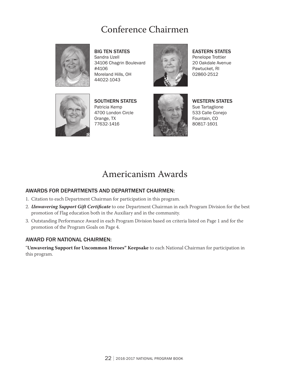### Conference Chairmen



**BIG TEN STATES** Sandra Uzell 34106 Chagrin Boulevard #4106 Moreland Hills, OH 44022-1043



**EASTERN STATES** Penelope Trottier 20 Oakdale Avenue Pawtucket, RI

02860-2512



SOUTHERN STATES Patricia Kemp 4700 London Circle Orange, TX 77632-1416



**WESTERN STATES** Sue Tartaglione 533 Calle Conejo Fountain, CO 80817-1601

### Americanism Awards

#### AWARDS FOR DEPARTMENTS AND DEPARTMENT CHAIRMEN:

- 1. Citation to each Department Chairman for participation in this program.
- 2. *Unwavering Support Gift Certificate* to one Department Chairman in each Program Division for the best promotion of Flag education both in the Auxiliary and in the community.
- 3. Outstanding Performance Award in each Program Division based on criteria listed on Page 1 and for the promotion of the Program Goals on Page 4.

#### AWARD FOR NATIONAL CHAIRMEN: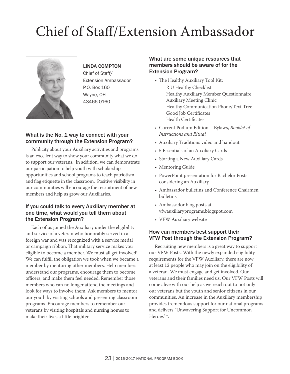# Chief of Staff/Extension Ambassador



#### LINDA COMPTON

Chief of Staff/ Extension Ambassador P.O. Box 160 Wayne, OH 43466-0160

#### What is the No. 1 way to connect with your community through the Extension Program?

Publicity about your Auxiliary activities and programs is an excellent way to show your community what we do to support our veterans. In addition, we can demonstrate our participation to help youth with scholarship opportunities and school programs to teach patriotism and flag etiquette in the classroom. Positive visibility in our communities will encourage the recruitment of new members and help us grow our Auxiliaries.

#### If you could talk to every Auxiliary member at one time, what would you tell them about the Extension Program?

Each of us joined the Auxiliary under the eligibility and service of a veteran who honorably served in a foreign war and was recognized with a service medal or campaign ribbon. That military service makes you eligible to become a member. We must all get involved! We can fulfill the obligation we took when we became a member by mentoring other members. Help members understand our programs, encourage them to become officers, and make them feel needed. Remember those members who can no longer attend the meetings and look for ways to involve them. Ask members to mentor our youth by visiting schools and presenting classroom programs. Encourage members to remember our veterans by visiting hospitals and nursing homes to make their lives a little brighter.

#### What are some unique resources that members should be aware of for the Extension Program?

- The Healthy Auxiliary Tool Kit:
	- R U Healthy Checklist Healthy Auxiliary Member Questionnaire Auxiliary Meeting Clinic Healthy Communication Phone/Text Tree Good Job Certificates Health Certificates
- • Current Podium Edition Bylaws, *Booklet of Instructions and Ritual*
- • Auxiliary Traditions video and handout
- • 5 Essentials of an Auxiliary Cards
- Starting a New Auxiliary Cards
- Mentoring Guide
- • PowerPoint presentation for Bachelor Posts considering an Auxiliary
- • Ambassador bulletins and Conference Chairmen bulletins
- • Ambassador blog posts at vfwauxiliaryprograms.blogspot.com
- VFW Auxiliary website

#### How can members best support their VFW Post through the Extension Program?

Recruiting new members is a great way to support our VFW Posts. With the newly expanded eligibility requirements for the VFW Auxiliary, there are now at least 12 people who may join on the eligibility of a veteran. We must engage and get involved. Our veterans and their families need us. Our VFW Posts will come alive with our help as we reach out to not only our veterans but the youth and senior citizens in our communities. An increase in the Auxiliary membership provides tremendous support for our national programs and delivers "Unwavering Support for Uncommon Heroes"™.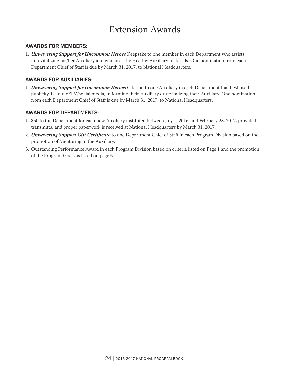### Extension Awards

#### AWARDS FOR MEMBERS:

1. *Unwavering Support for Uncommon Heroes* Keepsake to one member in each Department who assists in revitalizing his/her Auxiliary and who uses the Healthy Auxiliary materials. One nomination from each Department Chief of Staff is due by March 31, 2017, to National Headquarters.

#### AWARDS FOR AUXILIARIES:

1. *Unwavering Support for Uncommon Heroes* Citation to one Auxiliary in each Department that best used publicity, i.e. radio/TV/social media, in forming their Auxiliary or revitalizing their Auxiliary. One nomination from each Department Chief of Staff is due by March 31, 2017, to National Headquarters.

#### AWARDS FOR DEPARTMENTS:

- 1. \$50 to the Department for each new Auxiliary instituted between July 1, 2016, and February 28, 2017, provided transmittal and proper paperwork is received at National Headquarters by March 31, 2017.
- 2. *Unwavering Support Gift Certificate* to one Department Chief of Staff in each Program Division based on the promotion of Mentoring in the Auxiliary.
- 3. Outstanding Performance Award in each Program Division based on criteria listed on Page 1 and the promotion of the Program Goals as listed on page 6.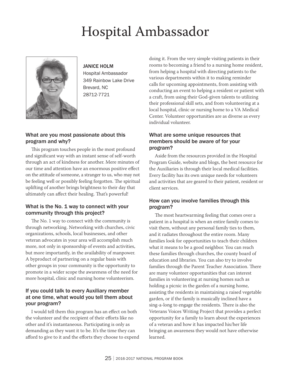# Hospital Ambassador



#### JANICE HOLM

Hospital Ambassador 349 Rainbow Lake Drive Brevard, NC 28712-7721

#### What are you most passionate about this program and why?

This program touches people in the most profound and significant way with an instant sense of self-worth through an act of kindness for another. Mere minutes of our time and attention have an enormous positive effect on the attitude of someone, a stranger to us, who may not be feeling well or possibly feeling forgotten. The spiritual uplifting of another brings brightness to their day that ultimately can affect their healing. That's powerful!

#### What is the No. 1 way to connect with your community through this project?

The No. 1 way to connect with the community is through networking. Networking with churches, civic organizations, schools, local businesses, and other veteran advocates in your area will accomplish much more, not only in sponsorship of events and activities, but more importantly, in the availability of manpower. A byproduct of partnering on a regular basis with other groups in your community is the opportunity to promote in a wider scope the awareness of the need for more hospital, clinic and nursing home volunteerism.

#### If you could talk to every Auxiliary member at one time, what would you tell them about your program?

I would tell them this program has an effect on both the volunteer and the recipient of their efforts like no other and it's instantaneous. Participating is only as demanding as they want it to be. It's the time they can afford to give to it and the efforts they choose to expend doing it. From the very simple visiting patients in their rooms to becoming a friend to a nursing home resident, from helping a hospital with directing patients to the various departments within it to making reminder calls for upcoming appointments, from assisting with conducting an event to helping a resident or patient with a craft, from using their God-given talents to utilizing their professional skill sets, and from volunteering at a local hospital, clinic or nursing home to a VA Medical Center. Volunteer opportunities are as diverse as every individual volunteer.

#### What are some unique resources that members should be aware of for your program?

Aside from the resources provided in the Hospital Program Guide, website and blogs, the best resource for the Auxiliaries is through their local medical facilities. Every facility has its own unique needs for volunteers and activities that are geared to their patient, resident or client services.

#### How can you involve families through this program?

The most heartwarming feeling that comes over a patient in a hospital is when an entire family comes to visit them, without any personal family ties to them, and it radiates throughout the entire room. Many families look for opportunities to teach their children what it means to be a good neighbor. You can reach these families through churches, the county board of education and libraries. You can also try to involve families through the Parent Teacher Association. There are many volunteer opportunities that can interest families in volunteering at nursing homes such as holding a picnic in the garden of a nursing home, assisting the residents in maintaining a raised vegetable garden, or if the family is musically inclined have a sing-a-long to engage the residents. There is also the Veterans Voices Writing Project that provides a perfect opportunity for a family to learn about the experiences of a veteran and how it has impacted his/her life bringing an awareness they would not have otherwise learned.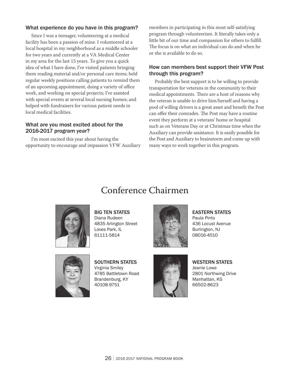#### What experience do you have in this program?

Since I was a teenager, volunteering at a medical facility has been a passion of mine. I volunteered at a local hospital in my neighborhood as a middle schooler for two years and currently at a VA Medical Center in my area for the last 15 years. To give you a quick idea of what I have done, I've visited patients bringing them reading material and/or personal care items; held regular weekly positions calling patients to remind them of an upcoming appointment, doing a variety of office work, and working on special projects; I've assisted with special events at several local nursing homes; and helped with fundraisers for various patient needs in local medical facilities.

#### What are you most excited about for the 2016-2017 program year?

I'm most excited this year about having the opportunity to encourage and impassion VFW Auxiliary members in participating in this most self-satisfying program through volunteerism. It literally takes only a little bit of our time and compassion for others to fulfill. The focus is on what an individual can do and when he or she is available to do so.

#### How can members best support their VFW Post through this program?

Probably the best support is to be willing to provide transportation for veterans in the community to their medical appointments. There are a host of reasons why the veteran is unable to drive him/herself and having a pool of willing drivers is a great asset and benefit the Post can offer their comrades. The Post may have a routine event they perform at a veterans' home or hospital such as on Veterans Day or at Christmas time when the Auxiliary can provide assistance. It is easily possible for the Post and Auxiliary to brainstorm and come up with many ways to work together in this program.

### Conference Chairmen



Big Ten States Diana Rudeen 4835 Arlington Street Loves Park, IL 61111-5814



**EASTERN STATES** Paula Pinto 436 Locust Avenue Burlington, NJ 08016-4510



SOUTHERN STATES Virginia Smiley 4785 Battletown Road Brandenburg, KY 40108-9751



#### **WESTERN STATES**

Jeanie Lowe 2801 Northwing Drive Manhattan, KS 66502-8623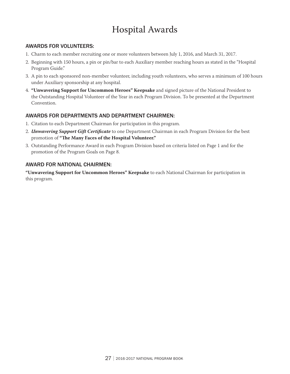## Hospital Awards

#### AWARDS FOR VOLUNTEERS:

- 1. Charm to each member recruiting one or more volunteers between July 1, 2016, and March 31, 2017.
- 2. Beginning with 150 hours, a pin or pin/bar to each Auxiliary member reaching hours as stated in the "Hospital Program Guide."
- 3. A pin to each sponsored non-member volunteer, including youth volunteers, who serves a minimum of 100 hours under Auxiliary sponsorship at any hospital.
- 4. **"Unwavering Support for Uncommon Heroes" Keepsake** and signed picture of the National President to the Outstanding Hospital Volunteer of the Year in each Program Division. To be presented at the Department Convention.

#### AWARDS FOR DEPARTMENTS AND DEPARTMENT CHAIRMEN:

- 1. Citation to each Department Chairman for participation in this program.
- 2. *Unwavering Support Gift Certificate* to one Department Chairman in each Program Division for the best promotion of **"The Many Faces of the Hospital Volunteer."**
- 3. Outstanding Performance Award in each Program Division based on criteria listed on Page 1 and for the promotion of the Program Goals on Page 8.

#### AWARD FOR NATIONAL CHAIRMEN: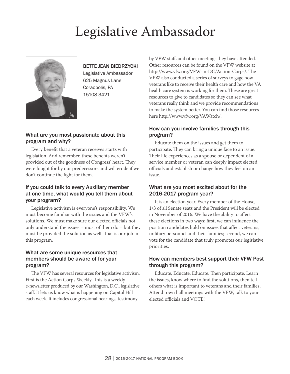# Legislative Ambassador



#### BETTE JEAN BIEDRZYCKI

Legislative Ambassador 625 Magnus Lane Coraopolis, PA 15108-3421

#### What are you most passionate about this program and why?

Every benefit that a veteran receives starts with legislation. And remember, these benefits weren't provided out of the goodness of Congress' heart. They were fought for by our predecessors and will erode if we don't continue the fight for them.

#### If you could talk to every Auxiliary member at one time, what would you tell them about your program?

Legislative activism is everyone's responsibility. We must become familiar with the issues and the VFW's solutions. We must make sure our elected officials not only understand the issues – most of them do – but they must be provided the solution as well. That is our job in this program.

#### What are some unique resources that members should be aware of for your program?

The VFW has several resources for legislative activism. First is the Action Corps Weekly. This is a weekly e-newsletter produced by our Washington, D.C., legislative staff. It lets us know what is happening on Capitol Hill each week. It includes congressional hearings, testimony

by VFW staff, and other meetings they have attended. Other resources can be found on the VFW website at http://www.vfw.org/VFW-in-DC/Action-Corps/. The VFW also conducted a series of surveys to gage how veterans like to receive their health care and how the VA health care system is working for them. These are great resources to give to candidates so they can see what veterans really think and we provide recommendations to make the system better. You can find those resources here http://www.vfw.org/VAWatch/.

#### How can you involve families through this program?

Educate them on the issues and get them to participate. They can bring a unique face to an issue. Their life experiences as a spouse or dependent of a service member or veteran can deeply impact elected officials and establish or change how they feel on an issue.

#### What are you most excited about for the 2016-2017 program year?

It is an election year. Every member of the House, 1/3 of all Senate seats and the President will be elected in November of 2016. We have the ability to affect these elections in two ways: first, we can influence the position candidates hold on issues that affect veterans, military personnel and their families; second, we can vote for the candidate that truly promotes our legislative priorities.

#### How can members best support their VFW Post through this program?

Educate, Educate, Educate. Then participate. Learn the issues, know where to find the solutions, then tell others what is important to veterans and their families. Attend town hall meetings with the VFW, talk to your elected officials and VOTE!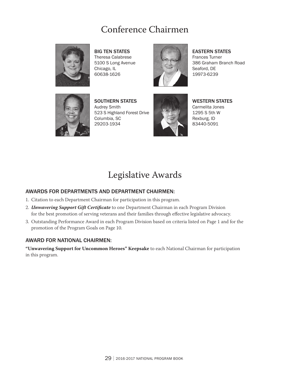### Conference Chairmen



**BIG TEN STATES** Theresa Calabrese 5100 S Long Avenue Chicago, IL 60638-1626



**EASTERN STATES** Frances Turner 386 Graham Branch Road Seaford, DE

19973-6239



SOUTHERN STATES Audrey Smith 523 S Highland Forest Drive Columbia, SC 29203-1934



**WESTERN STATES** Carmelita Jones 1295 S 5th W Rexburg, ID 83440-5091

### Legislative Awards

#### AWARDS FOR DEPARTMENTS AND DEPARTMENT CHAIRMEN:

- 1. Citation to each Department Chairman for participation in this program.
- 2. *Unwavering Support Gift Certificate* to one Department Chairman in each Program Division for the best promotion of serving veterans and their families through effective legislative advocacy.
- 3. Outstanding Performance Award in each Program Division based on criteria listed on Page 1 and for the promotion of the Program Goals on Page 10.

#### AWARD FOR NATIONAL CHAIRMEN: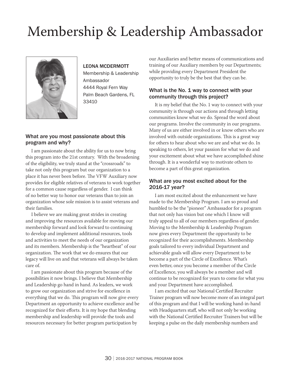# Membership & Leadership Ambassador



#### LEONA MCDERMOTT

Membership & Leadership Ambassador 4444 Royal Fern Way Palm Beach Gardens, FL 33410

#### What are you most passionate about this program and why?

I am passionate about the ability for us to now bring this program into the 21st century. With the broadening of the eligibility, we truly stand at the "crossroads" to take not only this program but our organization to a place it has never been before. The VFW Auxiliary now provides for eligible relatives of veterans to work together for a common cause regardless of gender. I can think of no better way to honor our veterans than to join an organization whose sole mission is to assist veterans and their families.

I believe we are making great strides in creating and improving the resources available for moving our membership forward and look forward to continuing to develop and implement additional resources, tools and activities to meet the needs of our organization and its members. Membership is the "heartbeat" of our organization. The work that we do ensures that our legacy will live on and that veterans will always be taken care of.

I am passionate about this program because of the possibilities it now brings. I believe that Membership and Leadership go hand in hand. As leaders, we work to grow our organization and strive for excellence in everything that we do. This program will now give every Department an opportunity to achieve excellence and be recognized for their efforts. It is my hope that blending membership and leadership will provide the tools and resources necessary for better program participation by

our Auxiliaries and better means of communications and training of our Auxiliary members by our Departments; while providing every Department President the opportunity to truly be the best that they can be.

#### What is the No. 1 way to connect with your community through this project?

It is my belief that the No. 1 way to connect with your community is through our actions and through letting communities know what we do. Spread the word about our programs. Involve the community in our programs. Many of us are either involved in or know others who are involved with outside organizations. This is a great way for others to hear about who we are and what we do. In speaking to others, let your passion for what we do and your excitement about what we have accomplished shine through. It is a wonderful way to motivate others to become a part of this great organization.

#### What are you most excited about for the 2016-17 year?

I am most excited about the enhancement we have made to the Membership Program. I am so proud and humbled to be the "pioneer" Ambassador for a program that not only has vision but one which I know will truly appeal to all of our members regardless of gender. Moving to the Membership & Leadership Program now gives every Department the opportunity to be recognized for their accomplishments. Membership goals tailored to every individual Department and achievable goals will allow every Department to be become a part of the Circle of Excellence. What's even better, once you become a member of the Circle of Excellence, you will always be a member and will continue to be recognized for years to come for what you and your Department have accomplished.

I am excited that our National Certified Recruiter Trainer program will now become more of an integral part of this program and that I will be working hand-in-hand with Headquarters staff, who will not only be working with the National Certified Recruiter Trainers but will be keeping a pulse on the daily membership numbers and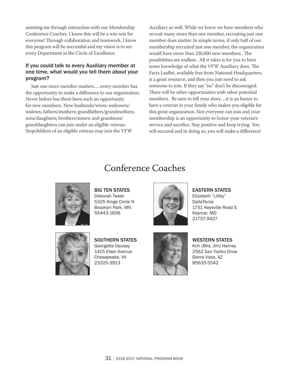assisting me through interaction with our Membership Conference Coaches. I know this will be a win-win for everyone! Through collaboration and teamwork, I know this program will be successful and my vision is to see every Department in the Circle of Excellence.

#### If you could talk to every Auxiliary member at one time, what would you tell them about your program?

Just one more member matters…..every member has the opportunity to make a difference to our organization. Never before has there been such an opportunity for new members. Now husbands/wives; widowers/ widows; fathers/mothers; grandfathers/grandmothers; sons/daughters; brothers/sisters; and grandsons/ granddaughters can join under an eligible veteran. Stepchildren of an eligible veteran may join the VFW

Auxiliary as well. While we know we have members who recruit many more than one member, recruiting just one member does matter. In simple terms, if only half of our membership recruited just one member, the organization would have more than 230,000 new members. The possibilities are endless. All it takes is for you to have some knowledge of what the VFW Auxiliary does. The Facts Leaflet, available free from National Headquarters, is a great resource, and then you just need to ask someone to join. If they say "no" don't be discouraged. There will be other opportunities with other potential members. Be sure to tell your story….it is an honor to have a veteran in your family who makes you eligible for this great organization. Not everyone can join and your membership is an opportunity to honor your veteran's service and sacrifice. Stay positive and keep trying. You will succeed and in doing so, you will make a difference!

### Conference Coaches



Big Ten States Deborah Tweet 5325 Kings Circle N Brooklyn Park, MN 55443-1606



**EASTERN STATES** Elizabeth "Libby" **DallaTezza** 1751 Keysville Road S Keymar, MD 21757-9427



SOUTHERN STATES Georgette Dausey 1415 Elder Avenue Chesapeake, VA 23325-3913



**WESTERN STATES** Kim (Mrs. Jim) Harney 2562 San Ysidro Drive Sierra Vista, AZ 85635-5542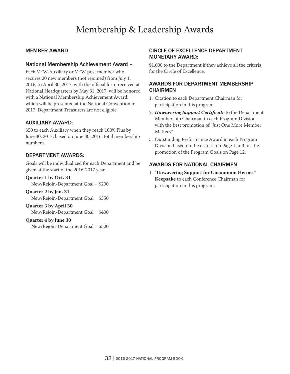### Membership & Leadership Awards

#### MEMBER AWARD

#### National Membership Achievement Award –

Each VFW Auxiliary or VFW post member who secures 20 new members (not rejoined) from July 1, 2016, to April 30, 2017, with the official form received at National Headquarters by May 31, 2017, will be honored with a National Membership Achievement Award; which will be presented at the National Convention in 2017. Department Treasurers are not eligible.

#### Auxiliary Award:

\$50 to each Auxiliary when they reach 100% Plus by June 30, 2017, based on June 30, 2016, total membership numbers.

#### Department Awards:

Goals will be individualized for each Department and be given at the start of the 2016-2017 year.

**Quarter 1 by Oct. 31**

New/Rejoin-Department Goal = \$200

**Quarter 2 by Jan. 31** New/Rejoin-Department Goal = \$350

**Quarter 3 by April 30** New/Rejoin-Department Goal = \$400

#### **Quarter 4 by June 30**

New/Rejoin-Department Goal = \$500

#### Circle of Excellence Department Monetary Award:

\$1,000 to the Department if they achieve all the criteria for the Circle of Excellence.

#### AWARDS FOR DEPARTMENT MEMBERSHIP **CHAIRMEN**

- 1. Citation to each Department Chairman for participation in this program.
- 2. *Unwavering Support Certificate* to the Department Membership Chairman in each Program Division with the best promotion of "Just One More Member Matters."
- 3. Outstanding Performance Award in each Program Division based on the criteria on Page 1 and for the promotion of the Program Goals on Page 12.

#### AWARDS FOR NATIONAL CHAIRMEN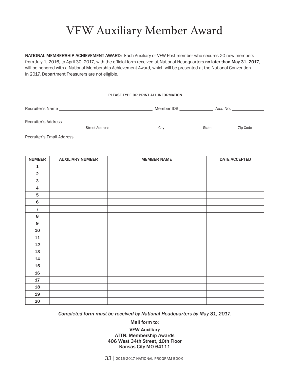## VFW Auxiliary Member Award

NATIONAL MEMBERSHIP ACHIEVEMENT AWARD: Each Auxiliary or VFW Post member who secures 20 new members from July 1, 2016, to April 30, 2017, with the official form received at National Headquarters no later than May 31, 2017, will be honored with a National Membership Achievement Award, which will be presented at the National Convention in 2017. Department Treasurers are not eligible.

#### PLEASE TYPE OR PRINT ALL INFORMATION

| Recruiter's Name          |                       | Member ID# | Aux. No. |          |
|---------------------------|-----------------------|------------|----------|----------|
| Recruiter's Address       | <b>Street Address</b> | City       | State    | Zip Code |
| Recruiter's Email Address |                       |            |          |          |

| <b>NUMBER</b>           | <b>AUXILIARY NUMBER</b> | <b>MEMBER NAME</b> | <b>DATE ACCEPTED</b> |
|-------------------------|-------------------------|--------------------|----------------------|
| ${\bf 1}$               |                         |                    |                      |
| $\mathbf 2$             |                         |                    |                      |
| $\mathsf 3$             |                         |                    |                      |
| $\overline{\mathbf{4}}$ |                         |                    |                      |
| $5\phantom{.0}$         |                         |                    |                      |
| $\bf 6$                 |                         |                    |                      |
| $\overline{7}$          |                         |                    |                      |
| $\bf8$                  |                         |                    |                      |
| $\boldsymbol{9}$        |                         |                    |                      |
| 10                      |                         |                    |                      |
| 11                      |                         |                    |                      |
| 12                      |                         |                    |                      |
| 13                      |                         |                    |                      |
| 14                      |                         |                    |                      |
| 15                      |                         |                    |                      |
| 16                      |                         |                    |                      |
| 17                      |                         |                    |                      |
| 18                      |                         |                    |                      |
| 19                      |                         |                    |                      |
| 20                      |                         |                    |                      |

*Completed form must be received by National Headquarters by May 31, 2017.* 

Mail form to:

VFW Auxiliary ATTN: Membership Awards 406 West 34th Street, 10th Floor Kansas City MO 64111

33 | 2016-2017 National Program Book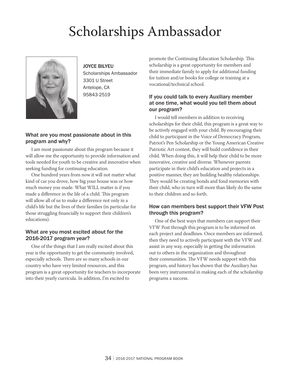# Scholarships Ambassador



JOYCE BILYEU Scholarships Ambassador 3301 U Street Antelope, CA 95843-2519

#### What are you most passionate about in this program and why?

I am most passionate about this program because it will allow me the opportunity to provide information and tools needed for youth to be creative and innovative when seeking funding for continuing education.

One hundred years from now it will not matter what kind of car you drove, how big your house was or how much money you made. What WILL matter is if you made a difference in the life of a child. This program will allow all of us to make a difference not only in a child's life but the lives of their families (in particular for those struggling financially to support their children's educations).

#### What are you most excited about for the 2016-2017 program year?

One of the things that I am really excited about this year is the opportunity to get the community involved, especially schools. There are so many schools in our country who have very limited resources, and this program is a great opportunity for teachers to incorporate into their yearly curricula. In addition, I'm excited to

promote the Continuing Education Scholarship. This scholarship is a great opportunity for members and their immediate family to apply for additional funding for tuition and/or books for college or training at a vocational/technical school.

#### If you could talk to every Auxiliary member at one time, what would you tell them about our program?

I would tell members in addition to receiving scholarships for their child, this program is a great way to be actively engaged with your child. By encouraging their child to participant in the Voice of Democracy Program, Patriot's Pen Scholarship or the Young American Creative Patriotic Art contest, they will build confidence in their child. When doing this, it will help their child to be more innovative, creative and diverse. Whenever parents participate in their child's education and projects in a positive manner, they are building healthy relationships. They would be creating bonds and fond memories with their child, who in turn will more than likely do the same to their children and so forth.

#### How can members best support their VFW Post through this program?

One of the best ways that members can support their VFW Post through this program is to be informed on each project and deadlines. Once members are informed, then they need to actively participant with the VFW and assist in any way, especially in getting the information out to others in the organization and throughout their communities. The VFW needs support with this program, and history has shown that the Auxiliary has been very instrumental in making each of the scholarship programs a success.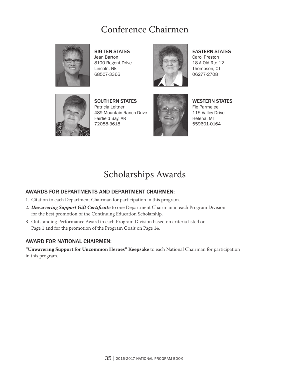### Conference Chairmen



**BIG TEN STATES** Jean Barton 8100 Regent Drive Lincoln, NE 68507-3366



**EASTERN STATES** Carol Preston 18 A Old Rte 12 Thompson, CT 06277-2708



SOUTHERN STATES Patricia Leitner 489 Mountain Ranch Drive Fairfield Bay, AR 72088-3618



**WESTERN STATES** Flo Parmelee 115 Valley Drive Helena, MT 559601-0164

### Scholarships Awards

#### AWARDS FOR DEPARTMENTS AND DEPARTMENT CHAIRMEN:

- 1. Citation to each Department Chairman for participation in this program.
- 2. *Unwavering Support Gift Certificate* to one Department Chairman in each Program Division for the best promotion of the Continuing Education Scholarship.
- 3. Outstanding Performance Award in each Program Division based on criteria listed on Page 1 and for the promotion of the Program Goals on Page 14.

#### AWARD FOR NATIONAL CHAIRMEN: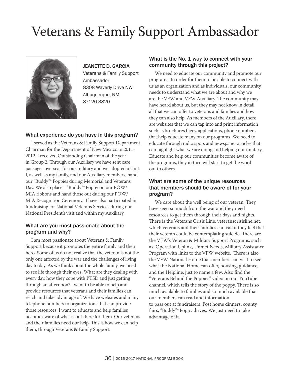# Veterans & Family Support Ambassador



JEANETTE D. GARCIA Veterans & Family Support Ambassador 8308 Waverly Drive NW Albuquerque, NM 87120-3820

#### What experience do you have in this program?

I served as the Veterans & Family Support Department Chairman for the Department of New Mexico in 2011- 2012. I received Outstanding Chairman of the year in Group 2. Through our Auxiliary we have sent care packages overseas for our military and we adopted a Unit. I, as well as my family, and our Auxiliary members, hand our "Buddy"® Poppies during Memorial and Veterans Day. We also place a "Buddy"® Poppy on our POW/ MIA ribbons and hand those out during our POW/ MIA Recognition Ceremony. I have also participated in fundraising for National Veterans Services during our National President's visit and within my Auxiliary.

#### What are you most passionate about the program and why?

I am most passionate about Veterans & Family Support because it promotes the entire family and their hero. Some of us do not realize that the veteran is not the only one affected by the war and the challenges of living day to day. As we think about the whole family, we need to see life through their eyes. What are they dealing with every day, how they cope with PTSD and just getting through an afternoon? I want to be able to help and provide resources that veterans and their families can reach and take advantage of. We have websites and many telephone numbers to organizations that can provide those resources. I want to educate and help families become aware of what is out there for them. Our veterans and their families need our help. This is how we can help them, through Veterans & Family Support.

#### What is the No. 1 way to connect with your community through this project?

We need to educate our community and promote our programs. In order for them to be able to connect with us as an organization and as individuals, our community needs to understand what we are about and why we are the VFW and VFW Auxiliary. The community may have heard about us, but they may not know in detail all that we can offer to veterans and families and how they can also help. As members of the Auxiliary, there are websites that we can tap into and print information such as brochures fliers, applications, phone numbers that help educate many on our programs. We need to educate through radio spots and newspaper articles that can highlight what we are doing and helping our military. Educate and help our communities become aware of the programs, they in turn will start to get the word out to others.

#### What are some of the unique resources that members should be aware of for your program?

We care about the well being of our veteran. They have seen so much from the war and they need resources to get them through their days and nights. There is the Veterans Crisis Line, veteranscrisisline.net, which veterans and their families can call if they feel that their veteran could be contemplating suicide. There are the VFW's Veteran & Military Support Programs, such as: Operation Uplink, Unmet Needs, Military Assistance Program with links to the VFW website. There is also the VFW National Home that members can visit to see what the National Home can offer, housing, guidance, and the Helpline, just to name a few. Also find the "Veterans Behind the Poppies" video on our YouTube channel, which tells the story of the poppy. There is so much available to families and so much available that our members can read and information to pass out at fundraisers, Post home dinners, county fairs, "Buddy"® Poppy drives. We just need to take advantage of it.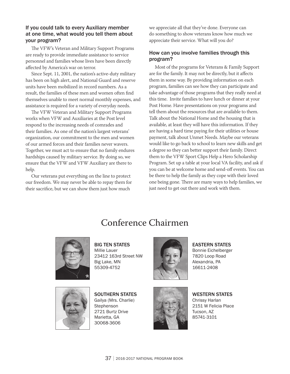#### If you could talk to every Auxiliary member at one time, what would you tell them about your program?

The VFW's Veteran and Military Support Programs are ready to provide immediate assistance to service personnel and families whose lives have been directly affected by America's war on terror.

Since Sept. 11, 2001, the nation's active-duty military has been on high alert, and National Guard and reserve units have been mobilized in record numbers. As a result, the families of these men and women often find themselves unable to meet normal monthly expenses, and assistance is required for a variety of everyday needs.

The VFW Veteran and Military Support Programs works when VFW and Auxiliaries at the Post level respond to the increasing needs of comrades and their families. As one of the nation's largest veterans' organization, our commitment to the men and women of our armed forces and their families never wavers. Together, we must act to ensure that no family endures hardships caused by military service. By doing so, we ensure that the VFW and VFW Auxiliary are there to help.

Our veterans put everything on the line to protect our freedom. We may never be able to repay them for their sacrifice, but we can show them just how much

we appreciate all that they've done. Everyone can do something to show veterans know how much we appreciate their service. What will you do?

#### How can you involve families through this program?

Most of the programs for Veterans & Family Support are for the family. It may not be directly, but it affects them in some way. By providing information on each program, families can see how they can participate and take advantage of those programs that they really need at this time. Invite families to have lunch or dinner at your Post Home. Have presentations on your programs and tell them about the resources that are available to them. Talk about the National Home and the housing that is available, at least they will have this information. If they are having a hard time paying for their utilities or house payment, talk about Unmet Needs. Maybe our veterans would like to go back to school to learn new skills and get a degree so they can better support their family. Direct them to the VFW Sport Clips Help a Hero Scholarship Program. Set up a table at your local VA facility, and ask if you can be at welcome home and send-off events. You can be there to help the family as they cope with their loved one being gone. There are many ways to help families, we just need to get out there and work with them.

### Conference Chairmen



**BIG TEN STATES** Millie Lauer 23412 163rd Street NW Big Lake, MN 55309-4752



**EASTERN STATES** Bonnie Eichelberger 7820 Loop Road Alexandria, PA 16611-2408



SOUTHERN STATES Gailya (Mrs. Charlie) **Stephenson** 2721 Burtz Drive Marietta, GA 30068-3606



**WESTERN STATES** Chrissy Harlan 2151 W Felicia Place Tucson, AZ 85741-3101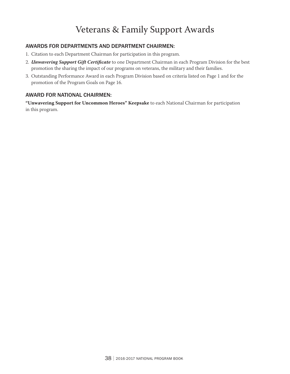### Veterans & Family Support Awards

#### AWARDS FOR DEPARTMENTS AND DEPARTMENT CHAIRMEN:

- 1. Citation to each Department Chairman for participation in this program.
- 2. *Unwavering Support Gift Certificate* to one Department Chairman in each Program Division for the best promotion the sharing the impact of our programs on veterans, the military and their families.
- 3. Outstanding Performance Award in each Program Division based on criteria listed on Page 1 and for the promotion of the Program Goals on Page 16.

#### AWARD FOR NATIONAL CHAIRMEN: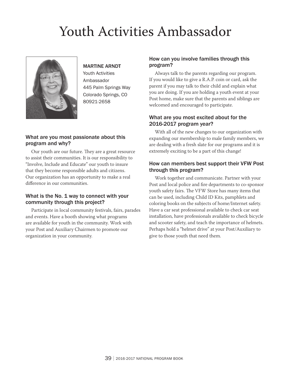# Youth Activities Ambassador



#### MARTINE ARNDT

Youth Activities Ambassador 445 Palm Springs Way Colorado Springs, CO 80921-2658

#### What are you most passionate about this program and why?

Our youth are our future. They are a great resource to assist their communities. It is our responsibility to "Involve, Include and Educate" our youth to insure that they become responsible adults and citizens. Our organization has an opportunity to make a real difference in our communities.

#### What is the No. 1 way to connect with your community through this project?

Participate in local community festivals, fairs, parades and events. Have a booth showing what programs are available for youth in the community. Work with your Post and Auxiliary Chairmen to promote our organization in your community.

#### How can you involve families through this program?

Always talk to the parents regarding our program. If you would like to give a R.A.P. coin or card, ask the parent if you may talk to their child and explain what you are doing. If you are holding a youth event at your Post home, make sure that the parents and siblings are welcomed and encouraged to participate.

#### What are you most excited about for the 2016-2017 program year?

With all of the new changes to our organization with expanding our membership to male family members, we are dealing with a fresh slate for our programs and it is extremely exciting to be a part of this change!

#### How can members best support their VFW Post through this program?

Work together and communicate. Partner with your Post and local police and fire departments to co-sponsor youth safety fairs. The VFW Store has many items that can be used, including Child ID Kits, pamphlets and coloring books on the subjects of home/Internet safety. Have a car seat professional available to check car seat installation, have professionals available to check bicycle and scooter safety, and teach the importance of helmets. Perhaps hold a "helmet drive" at your Post/Auxiliary to give to those youth that need them.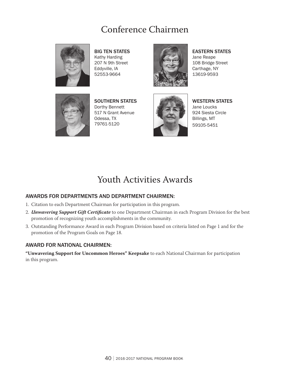### Conference Chairmen



Big Ten States Kathy Harding 207 N 9th Street Eddyville, IA 52553-9664



**EASTERN STATES** Jane Reape 108 Bridge Street Carthage, NY 13619-9593



SOUTHERN STATES Dorthy Bennett 517 N Grant Avenue Odessa, TX 79761-5120



**WESTERN STATES** Jane Loucks 924 Siesta Circle Billings, MT 59105-5451

### Youth Activities Awards

#### AWARDS FOR DEPARTMENTS AND DEPARTMENT CHAIRMEN:

- 1. Citation to each Department Chairman for participation in this program.
- 2. *Unwavering Support Gift Certificate* to one Department Chairman in each Program Division for the best promotion of recognizing youth accomplishments in the community.
- 3. Outstanding Performance Award in each Program Division based on criteria listed on Page 1 and for the promotion of the Program Goals on Page 18.

#### AWARD FOR NATIONAL CHAIRMEN: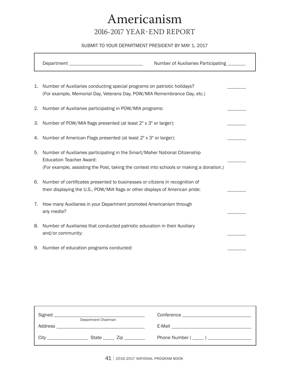## Americanism 2016-2017 Year-End Report

#### SUBMIT TO YOUR DEPARTMENT PRESIDENT BY MAY 1, 2017

|    | Department <b>Department</b>                                                                                                                                                                               | Number of Auxiliaries Participating ________ |  |
|----|------------------------------------------------------------------------------------------------------------------------------------------------------------------------------------------------------------|----------------------------------------------|--|
| 1. | Number of Auxiliaries conducting special programs on patriotic holidays?<br>(For example, Memorial Day, Veterans Day, POW/MIA Remembrance Day, etc.)                                                       |                                              |  |
| 2. | Number of Auxiliaries participating in POW/MIA programs:                                                                                                                                                   |                                              |  |
| 3. | Number of POW/MIA flags presented (at least 2" x 3" or larger):                                                                                                                                            |                                              |  |
| 4. | Number of American Flags presented (at least 2" x 3" or larger):                                                                                                                                           |                                              |  |
| 5. | Number of Auxiliaries participating in the Smart/Maher National Citizenship<br><b>Education Teacher Award:</b><br>(For example, assisting the Post, taking the contest into schools or making a donation.) |                                              |  |
| 6. | Number of certificates presented to businesses or citizens in recognition of<br>their displaying the U.S., POW/MIA flags or other displays of American pride:                                              |                                              |  |
| 7. | How many Auxiliaries in your Department promoted Americanism through<br>any media?                                                                                                                         |                                              |  |
| 8. | Number of Auxiliaries that conducted patriotic education in their Auxiliary<br>and/or community:                                                                                                           |                                              |  |
| 9. | Number of education programs conducted:                                                                                                                                                                    |                                              |  |

| Signed  | <u> 1989 - Johann John Stein, markin film yn y brening yn y brening yn y brening yn y brening yn y brening yn y b</u> |  |
|---------|-----------------------------------------------------------------------------------------------------------------------|--|
|         | Department Chairman                                                                                                   |  |
| Address | <u> 1989 - Johann Stein, mars an deutscher Stein und der Stein und der Stein und der Stein und der Stein und der</u>  |  |
| City    | State $\_\_\_$ Zip $\_\_\_\_\_\_\_$                                                                                   |  |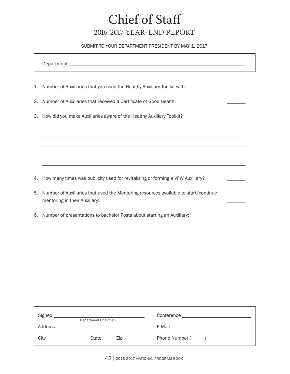## Chief of Staff 2016-2017 Year-End Report

#### SUBMIT TO YOUR DEPARTMENT PRESIDENT BY MAY 1, 2017

Department

 $\overline{a}$ 

 $\overline{a}$ 

 $\overline{a}$ 

 $\overline{a}$ 

 $\overline{a}$ 

- 1. Number of Auxiliaries that you used the Healthy Auxiliary Toolkit with:
- 2. Number of Auxiliaries that received a Certificate of Good Health:
- 3. How did you make Auxiliaries aware of the Healthy Auxiliary Toolkit?

4. How many times was publicity used for revitalizing or forming a VFW Auxiliary?

- 5. Number of Auxiliaries that used the Mentoring resources available to start/continue mentoring in their Auxiliary:
- 6. Number of presentations to bachelor Posts about starting an Auxiliary:

| Signed                                    | <u> 1989 - Andrea Andrew Maria (h. 1989).</u><br>Department Chairman |                            |  |
|-------------------------------------------|----------------------------------------------------------------------|----------------------------|--|
| Address                                   | <u> 1989 - John Stein, Amerikaansk politiker († 1908)</u>            |                            |  |
| City<br><b>Contract Contract Contract</b> |                                                                      | State ______ Zip _________ |  |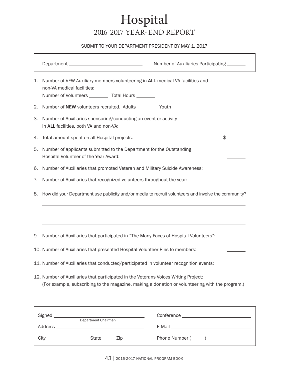## Hospital 2016-2017 Year-End Report

#### SUBMIT TO YOUR DEPARTMENT PRESIDENT BY MAY 1, 2017

|    |                                                                                                                                                                                        | Number of Auxiliaries Participating _______ |                                   |
|----|----------------------------------------------------------------------------------------------------------------------------------------------------------------------------------------|---------------------------------------------|-----------------------------------|
| 1. | Number of VFW Auxiliary members volunteering in ALL medical VA facilities and<br>non-VA medical facilities:<br>Number of Volunteers __________ Total Hours ________                    |                                             |                                   |
| 2. | Number of NEW volunteers recruited. Adults ___________ Youth _________                                                                                                                 |                                             |                                   |
| З. | Number of Auxiliaries sponsoring/conducting an event or activity<br>in ALL facilities, both VA and non-VA:                                                                             |                                             |                                   |
| 4. | Total amount spent on all Hospital projects:                                                                                                                                           |                                             | $\mathfrak{S}$ and $\mathfrak{S}$ |
| 5. | Number of applicants submitted to the Department for the Outstanding<br>Hospital Volunteer of the Year Award:                                                                          |                                             |                                   |
| 6. | Number of Auxiliaries that promoted Veteran and Military Suicide Awareness:                                                                                                            |                                             |                                   |
| 7. | Number of Auxiliaries that recognized volunteers throughout the year:                                                                                                                  |                                             |                                   |
| 8. | How did your Department use publicity and/or media to recruit volunteers and involve the community?                                                                                    |                                             |                                   |
|    |                                                                                                                                                                                        |                                             |                                   |
| 9. | Number of Auxiliaries that participated in "The Many Faces of Hospital Volunteers":                                                                                                    |                                             |                                   |
|    | 10. Number of Auxiliaries that presented Hospital Volunteer Pins to members:                                                                                                           |                                             |                                   |
|    | 11. Number of Auxiliaries that conducted/participated in volunteer recognition events:                                                                                                 |                                             |                                   |
|    | 12. Number of Auxiliaries that participated in the Veterans Voices Writing Project:<br>(For example, subscribing to the magazine, making a donation or volunteering with the program.) |                                             |                                   |

| Signed  | Department Chairman |                                                     | Conference<br><u> 1980 - Jan Barbara Barbara, manazarta da kas</u> |
|---------|---------------------|-----------------------------------------------------|--------------------------------------------------------------------|
| Address |                     |                                                     | E-Mail<br>the control of the control of the control of             |
| Citv    |                     | State $\frac{1}{\sqrt{2}}$ Zip $\frac{1}{\sqrt{2}}$ |                                                                    |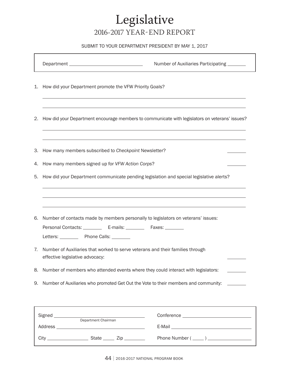## Legislative 2016-2017 Year-End Report

#### SUBMIT TO YOUR DEPARTMENT PRESIDENT BY MAY 1, 2017

 $\overline{a}$ 

 $\overline{a}$ 

 $\overline{a}$ 

 $\overline{a}$ 

Department Number of Auxiliaries Participating

- 1. How did your Department promote the VFW Priority Goals?
- 2. How did your Department encourage members to communicate with legislators on veterans' issues?
- 3. How many members subscribed to *Checkpoint* Newsletter?
- 4. How many members signed up for *VFW Action Corps*?
- 5. How did your Department communicate pending legislation and special legislative alerts?

|    | 6. Number of contacts made by members personally to legislators on veterans' issues:                              |
|----|-------------------------------------------------------------------------------------------------------------------|
|    |                                                                                                                   |
|    | Letters: ___________ Phone Calls: ________                                                                        |
| 7. | Number of Auxiliaries that worked to serve veterans and their families through<br>effective legislative advocacy: |
|    | 8. Number of members who attended events where they could interact with legislators:                              |
|    | 9. Number of Auxiliaries who promoted Get Out the Vote to their members and community:                            |

| Signed  | and the control of the control of the control of the control of the control of the control of the control of the | Conference ________________________ |
|---------|------------------------------------------------------------------------------------------------------------------|-------------------------------------|
|         | Department Chairman                                                                                              |                                     |
| Address | <u> 1980 - Andrea Andrew Maria (h. 1980).</u>                                                                    |                                     |
|         |                                                                                                                  |                                     |
| Citv    | State ______ Zip _________                                                                                       |                                     |
|         |                                                                                                                  |                                     |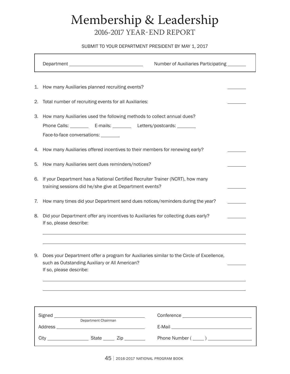## Membership & Leadership 2016-2017 Year-End Report

#### SUBMIT TO YOUR DEPARTMENT PRESIDENT BY MAY 1, 2017

|    |                                                                                                                                                                                                    | Number of Auxiliaries Participating _______                                                                   |  |
|----|----------------------------------------------------------------------------------------------------------------------------------------------------------------------------------------------------|---------------------------------------------------------------------------------------------------------------|--|
| 1. | How many Auxiliaries planned recruiting events?                                                                                                                                                    |                                                                                                               |  |
| 2. | Total number of recruiting events for all Auxiliaries:                                                                                                                                             |                                                                                                               |  |
|    | 3. How many Auxiliaries used the following methods to collect annual dues?<br>Phone Calls: ____________ E-mails: ____________ Letters/postcards: _________<br>Face-to-face conversations: ________ |                                                                                                               |  |
|    | 4. How many Auxiliaries offered incentives to their members for renewing early?                                                                                                                    |                                                                                                               |  |
| 5. | How many Auxiliaries sent dues reminders/notices?                                                                                                                                                  |                                                                                                               |  |
| 6. | If your Department has a National Certified Recruiter Trainer (NCRT), how many<br>training sessions did he/she give at Department events?                                                          |                                                                                                               |  |
| 7. | How many times did your Department send dues notices/reminders during the year?                                                                                                                    |                                                                                                               |  |
| 8. | Did your Department offer any incentives to Auxiliaries for collecting dues early?<br>If so, please describe:                                                                                      |                                                                                                               |  |
| 9. | Does your Department offer a program for Auxiliaries similar to the Circle of Excellence,<br>such as Outstanding Auxiliary or All American?<br>If so, please describe:                             |                                                                                                               |  |
|    |                                                                                                                                                                                                    |                                                                                                               |  |
|    |                                                                                                                                                                                                    |                                                                                                               |  |
|    |                                                                                                                                                                                                    | E-Mail 2008 2009 2010 2021 2022 2023 2024 2022 2022 2023 2024 2022 2023 2024 2022 2023 2024 2022 2023 2024 20 |  |
|    |                                                                                                                                                                                                    |                                                                                                               |  |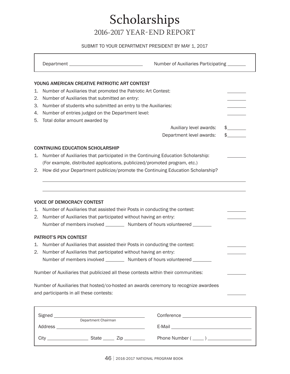## Scholarships 2016-2017 Year-End Report

#### SUBMIT TO YOUR DEPARTMENT PRESIDENT BY MAY 1, 2017

|    |                                                                                      | Number of Auxiliaries Participating _______                                                                   |               |
|----|--------------------------------------------------------------------------------------|---------------------------------------------------------------------------------------------------------------|---------------|
|    | YOUNG AMERICAN CREATIVE PATRIOTIC ART CONTEST                                        |                                                                                                               |               |
| 1. | Number of Auxiliaries that promoted the Patriotic Art Contest:                       |                                                                                                               |               |
| 2. | Number of Auxiliaries that submitted an entry:                                       |                                                                                                               |               |
| З. | Number of students who submitted an entry to the Auxiliaries:                        |                                                                                                               |               |
| 4. | Number of entries judged on the Department level:                                    |                                                                                                               |               |
| 5. | Total dollar amount awarded by                                                       |                                                                                                               |               |
|    |                                                                                      | Auxiliary level awards:                                                                                       | $\frac{1}{2}$ |
|    |                                                                                      | Department level awards:                                                                                      | $\frac{1}{2}$ |
|    | <b>CONTINUING EDUCATION SCHOLARSHIP</b>                                              |                                                                                                               |               |
| 1. | Number of Auxiliaries that participated in the Continuing Education Scholarship:     |                                                                                                               |               |
|    | (For example, distributed applications, publicized/promoted program, etc.)           |                                                                                                               |               |
|    | 2. How did your Department publicize/promote the Continuing Education Scholarship?   |                                                                                                               |               |
|    |                                                                                      |                                                                                                               |               |
|    |                                                                                      |                                                                                                               |               |
|    |                                                                                      |                                                                                                               |               |
|    |                                                                                      |                                                                                                               |               |
|    | <b>VOICE OF DEMOCRACY CONTEST</b>                                                    |                                                                                                               |               |
| 1. | Number of Auxiliaries that assisted their Posts in conducting the contest:           |                                                                                                               |               |
| 2. | Number of Auxiliaries that participated without having an entry:                     |                                                                                                               |               |
|    | Number of members involved ___________ Numbers of hours volunteered ________         |                                                                                                               |               |
|    | <b>PATRIOT'S PEN CONTEST</b>                                                         |                                                                                                               |               |
| 1. | Number of Auxiliaries that assisted their Posts in conducting the contest:           |                                                                                                               |               |
| 2. | Number of Auxiliaries that participated without having an entry:                     |                                                                                                               |               |
|    | Number of members involved __________ Numbers of hours volunteered _______           |                                                                                                               |               |
|    |                                                                                      |                                                                                                               |               |
|    | Number of Auxiliaries that publicized all these contests within their communities:   |                                                                                                               |               |
|    |                                                                                      |                                                                                                               |               |
|    | Number of Auxiliaries that hosted/co-hosted an awards ceremony to recognize awardees |                                                                                                               |               |
|    | and participants in all these contests:                                              |                                                                                                               |               |
|    |                                                                                      |                                                                                                               |               |
|    |                                                                                      |                                                                                                               |               |
|    |                                                                                      |                                                                                                               |               |
|    |                                                                                      | E-Mail 2008 2010 2021 2022 2023 2024 2022 2022 2023 2024 2022 2023 2024 2022 2023 2024 2022 2023 2024 2022 20 |               |

City State Zip Phone Number ( )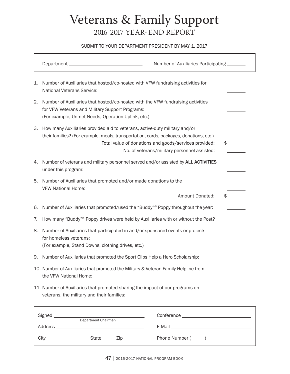## Veterans & Family Support 2016-2017 Year-End Report

#### SUBMIT TO YOUR DEPARTMENT PRESIDENT BY MAY 1, 2017

|    |                                                                                                                                                                                          | Number of Auxiliaries Participating _______                                                           |  |
|----|------------------------------------------------------------------------------------------------------------------------------------------------------------------------------------------|-------------------------------------------------------------------------------------------------------|--|
| 1. | Number of Auxiliaries that hosted/co-hosted with VFW fundraising activities for<br><b>National Veterans Service:</b>                                                                     |                                                                                                       |  |
| 2. | Number of Auxiliaries that hosted/co-hosted with the VFW fundraising activities<br>for VFW Veterans and Military Support Programs:<br>(For example, Unmet Needs, Operation Uplink, etc.) |                                                                                                       |  |
| 3. | How many Auxiliaries provided aid to veterans, active-duty military and/or<br>their families? (For example, meals, transportation, cards, packages, donations, etc.)                     | Total value of donations and goods/services provided:<br>No. of veterans/military personnel assisted: |  |
| 4. | Number of veterans and military personnel served and/or assisted by ALL ACTIVITIES<br>under this program:                                                                                |                                                                                                       |  |
| 5. | Number of Auxiliaries that promoted and/or made donations to the<br><b>VFW National Home:</b>                                                                                            | Amount Donated:                                                                                       |  |
| 6. | Number of Auxiliaries that promoted/used the "Buddy" <sup>®</sup> Poppy throughout the year:                                                                                             |                                                                                                       |  |
| 7. | How many "Buddy" <sup>®</sup> Poppy drives were held by Auxiliaries with or without the Post?                                                                                            |                                                                                                       |  |
| 8. | Number of Auxiliaries that participated in and/or sponsored events or projects<br>for homeless veterans:<br>(For example, Stand Downs, clothing drives, etc.)                            |                                                                                                       |  |
| 9. | Number of Auxiliaries that promoted the Sport Clips Help a Hero Scholarship:                                                                                                             |                                                                                                       |  |
|    | 10. Number of Auxiliaries that promoted the Military & Veteran Family Helpline from<br>the VFW National Home:                                                                            |                                                                                                       |  |
|    | 11. Number of Auxiliaries that promoted sharing the impact of our programs on<br>veterans, the military and their families:                                                              |                                                                                                       |  |
|    | Signed __________<br><u> 1980 - Johann Barbara, martxa alemaniar a</u>                                                                                                                   |                                                                                                       |  |
|    | Department Chairman                                                                                                                                                                      |                                                                                                       |  |
|    |                                                                                                                                                                                          | Phone Number $(\_\_)$                                                                                 |  |